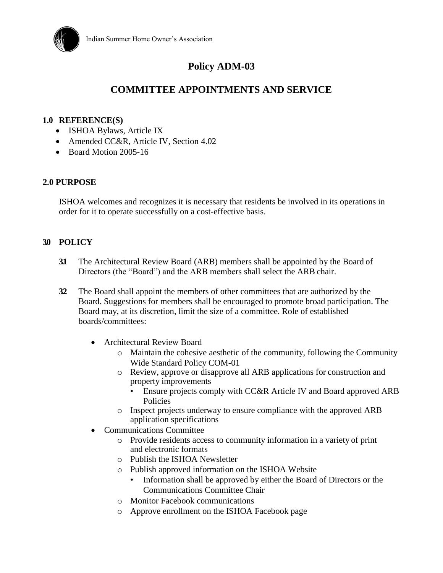

# **Policy ADM-03**

# **COMMITTEE APPOINTMENTS AND SERVICE**

#### **1.0 REFERENCE(S)**

- ISHOA Bylaws, Article IX
- Amended CC&R, Article IV, Section 4.02
- Board Motion 2005-16

#### **2.0 PURPOSE**

ISHOA welcomes and recognizes it is necessary that residents be involved in its operations in order for it to operate successfully on a cost-effective basis.

## **3.0 POLICY**

- **3.1** The Architectural Review Board (ARB) members shall be appointed by the Board of Directors (the "Board") and the ARB members shall select the ARB chair.
- **3.2** The Board shall appoint the members of other committees that are authorized by the Board. Suggestions for members shall be encouraged to promote broad participation. The Board may, at its discretion, limit the size of a committee. Role of established boards/committees:
	- Architectural Review Board
		- o Maintain the cohesive aesthetic of the community, following the Community Wide Standard Policy COM-01
		- o Review, approve or disapprove all ARB applications for construction and property improvements
			- Ensure projects comply with CC&R Article IV and Board approved ARB Policies
		- o Inspect projects underway to ensure compliance with the approved ARB application specifications
	- Communications Committee
		- o Provide residents access to community information in a variety of print and electronic formats
		- o Publish the ISHOA Newsletter
		- o Publish approved information on the ISHOA Website
			- Information shall be approved by either the Board of Directors or the Communications Committee Chair
		- o Monitor Facebook communications
		- o Approve enrollment on the ISHOA Facebook page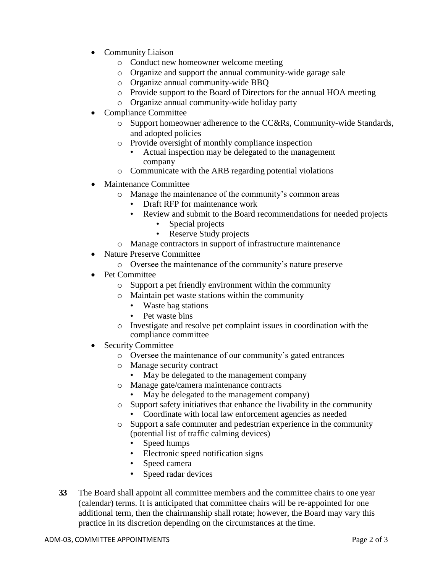- Community Liaison
	- o Conduct new homeowner welcome meeting
	- o Organize and support the annual community-wide garage sale
	- o Organize annual community-wide BBQ
	- o Provide support to the Board of Directors for the annual HOA meeting
	- o Organize annual community-wide holiday party
- Compliance Committee
	- o Support homeowner adherence to the CC&Rs, Community-wide Standards, and adopted policies
	- o Provide oversight of monthly compliance inspection
		- Actual inspection may be delegated to the management company
	- o Communicate with the ARB regarding potential violations
- Maintenance Committee
	- o Manage the maintenance of the community's common areas
		- Draft RFP for maintenance work
		- Review and submit to the Board recommendations for needed projects
			- Special projects
			- Reserve Study projects
	- o Manage contractors in support of infrastructure maintenance
- Nature Preserve Committee
	- o Oversee the maintenance of the community's nature preserve
- Pet Committee
	- o Support a pet friendly environment within the community
	- o Maintain pet waste stations within the community
		- Waste bag stations
		- Pet waste bins
	- o Investigate and resolve pet complaint issues in coordination with the compliance committee
- Security Committee
	- o Oversee the maintenance of our community's gated entrances
	- o Manage security contract
		- May be delegated to the management company
	- o Manage gate/camera maintenance contracts
		- May be delegated to the management company)
	- o Support safety initiatives that enhance the livability in the community
		- Coordinate with local law enforcement agencies as needed
	- o Support a safe commuter and pedestrian experience in the community (potential list of traffic calming devices)
		- Speed humps
		- Electronic speed notification signs
		- Speed camera
		- Speed radar devices
- **3.3** The Board shall appoint all committee members and the committee chairs to one year (calendar) terms. It is anticipated that committee chairs will be re-appointed for one additional term, then the chairmanship shall rotate; however, the Board may vary this practice in its discretion depending on the circumstances at the time.